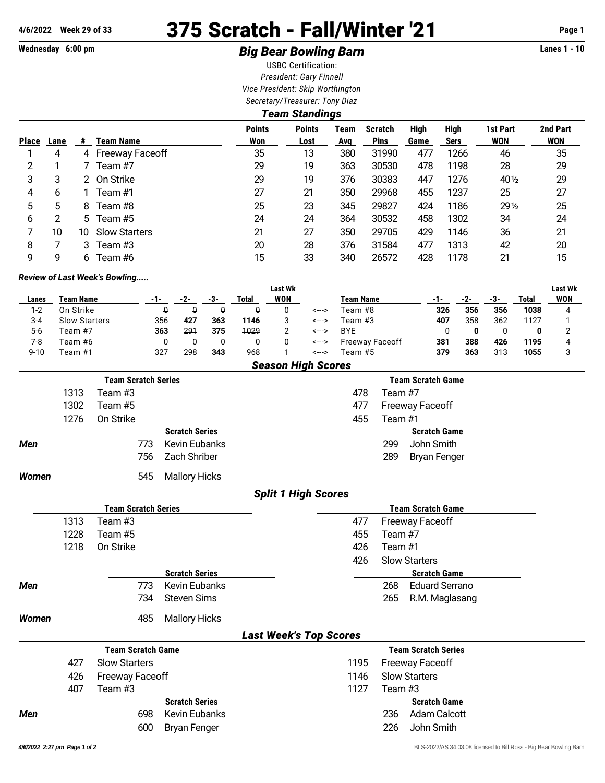## **4/6/2022 Week 29 of 33** 375 Scratch - Fall/Winter '21 **Page 1**

## **Wednesday 6:00 pm Big Bear Bowling Barn Lanes 1 - 10**

USBC Certification: *President: Gary Finnell Vice President: Skip Worthington Secretary/Treasurer: Tony Diaz*

| Team Standings |      |     |                      |                      |                       |             |                               |              |                            |                        |                        |  |  |
|----------------|------|-----|----------------------|----------------------|-----------------------|-------------|-------------------------------|--------------|----------------------------|------------------------|------------------------|--|--|
| <b>Place</b>   | Lane | #   | Team Name            | <b>Points</b><br>Won | <b>Points</b><br>Lost | Team<br>Avg | <b>Scratch</b><br><b>Pins</b> | High<br>Game | <b>High</b><br><b>Sers</b> | 1st Part<br><b>WON</b> | 2nd Part<br><b>WON</b> |  |  |
|                | 4    | 4   | Freeway Faceoff      | 35                   | 13                    | 380         | 31990                         | 477          | 1266                       | 46                     | 35                     |  |  |
| 2              |      |     | Team #7              | 29                   | 19                    | 363         | 30530                         | 478          | 1198                       | 28                     | 29                     |  |  |
| 3              | 3    |     | 2 On Strike          | 29                   | 19                    | 376         | 30383                         | 447          | 1276                       | 40 $\frac{1}{2}$       | 29                     |  |  |
| 4              | 6    |     | Team #1              | 27                   | 21                    | 350         | 29968                         | 455          | 1237                       | 25                     | 27                     |  |  |
| 5              | 5    | 8   | Team #8              | 25                   | 23                    | 345         | 29827                         | 424          | 1186                       | $29\frac{1}{2}$        | 25                     |  |  |
| 6              | 2    | 5   | Team #5              | 24                   | 24                    | 364         | 30532                         | 458          | 1302                       | 34                     | 24                     |  |  |
|                | 10   | 10. | <b>Slow Starters</b> | 21                   | 27                    | 350         | 29705                         | 429          | 1146                       | 36                     | 21                     |  |  |
| 8              |      | 3   | Team #3              | 20                   | 28                    | 376         | 31584                         | 477          | 1313                       | 42                     | 20                     |  |  |
| 9              | 9    | 6   | Team #6              | 15                   | 33                    | 340         | 26572                         | 428          | 1178                       | 21                     | 15                     |  |  |

## *Review of Last Week's Bowling.....*

|          |                           |     |     |     |       | <b>Last Wk</b> |       |                        |     |     |     |       | <b>Last Wk</b> |
|----------|---------------------------|-----|-----|-----|-------|----------------|-------|------------------------|-----|-----|-----|-------|----------------|
| Lanes    | Team Name                 | -1- | -2- | -3- | Total | WON            |       | <b>Team Name</b>       |     | -2- | -3- | Total | <b>WON</b>     |
| $1 - 2$  | On Strike                 | 0   | O   | Q   |       |                | <---> | Team #8                | 326 | 356 | 356 | 1038  | 4              |
| 3-4      | <b>Slow Starters</b>      | 356 | 427 | 363 | 1146  | 3              | <---> | Team #3                | 407 | 358 | 362 | 1127  |                |
| $5-6$    | Team #7                   | 363 | 291 | 375 | 1029  | 2              | <---> | <b>BYE</b>             |     |     |     | 0     |                |
| 7-8      | Team #6                   | Q   | O   | 0   |       |                | <---> | <b>Freeway Faceoff</b> | 381 | 388 | 426 | 1195  | 4              |
| $9 - 10$ | Team #1                   | 327 | 298 | 343 | 968   |                | <---> | Team #5                | 379 | 363 | 313 | 1055  |                |
|          | <b>Season High Scores</b> |     |     |     |       |                |       |                        |     |     |     |       |                |

|              |      | <b>Team Scratch Series</b> |                       |                               |         | <b>Team Scratch Game</b>   |  |
|--------------|------|----------------------------|-----------------------|-------------------------------|---------|----------------------------|--|
|              | 1313 | Team #3                    |                       | 478                           | Team #7 |                            |  |
|              | 1302 | Team #5                    |                       | 477                           |         | <b>Freeway Faceoff</b>     |  |
|              | 1276 | On Strike                  |                       | 455                           | Team #1 |                            |  |
|              |      |                            | <b>Scratch Series</b> |                               |         | <b>Scratch Game</b>        |  |
| Men          |      | 773                        | <b>Kevin Eubanks</b>  |                               | 299     | John Smith                 |  |
|              |      | 756                        | Zach Shriber          |                               | 289     | <b>Bryan Fenger</b>        |  |
| Women        |      | 545                        | <b>Mallory Hicks</b>  |                               |         |                            |  |
|              |      |                            |                       | <b>Split 1 High Scores</b>    |         |                            |  |
|              |      | <b>Team Scratch Series</b> |                       |                               |         | <b>Team Scratch Game</b>   |  |
|              | 1313 | Team #3                    |                       | 477                           |         | <b>Freeway Faceoff</b>     |  |
|              | 1228 | Team #5                    |                       | 455                           | Team #7 |                            |  |
|              | 1218 | On Strike                  |                       | 426                           | Team #1 |                            |  |
|              |      |                            |                       | 426                           |         | <b>Slow Starters</b>       |  |
|              |      |                            | <b>Scratch Series</b> |                               |         | <b>Scratch Game</b>        |  |
| Men          |      | 773                        | <b>Kevin Eubanks</b>  |                               | 268     | <b>Eduard Serrano</b>      |  |
|              |      | 734                        | <b>Steven Sims</b>    |                               | 265     | R.M. Maglasang             |  |
| <b>Women</b> |      | 485                        | <b>Mallory Hicks</b>  |                               |         |                            |  |
|              |      |                            |                       | <b>Last Week's Top Scores</b> |         |                            |  |
|              |      | <b>Team Scratch Game</b>   |                       |                               |         | <b>Team Scratch Series</b> |  |
|              | 427  | <b>Slow Starters</b>       |                       | 1195                          |         | <b>Freeway Faceoff</b>     |  |
|              | 426  | <b>Freeway Faceoff</b>     |                       | 1146                          |         | <b>Slow Starters</b>       |  |
|              | 407  | Team #3                    |                       | 1127                          | Team #3 |                            |  |
|              |      |                            | <b>Scratch Series</b> |                               |         | <b>Scratch Game</b>        |  |
| Men          |      | 698                        | <b>Kevin Eubanks</b>  |                               | 236     | <b>Adam Calcott</b>        |  |
|              |      | 600                        | <b>Bryan Fenger</b>   |                               | 226     | John Smith                 |  |